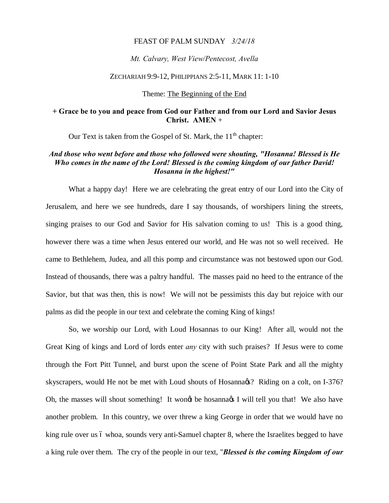### FEAST OF PALM SUNDAY *3/24/18*

### *Mt. Calvary, West View/Pentecost, Avella*

### ZECHARIAH 9:9-12, PHILIPPIANS 2:5-11, MARK 11: 1-10

Theme: The Beginning of the End

## **+ Grace be to you and peace from God our Father and from our Lord and Savior Jesus Christ. AMEN** +

Our Text is taken from the Gospel of St. Mark, the  $11<sup>th</sup>$  chapter:

# *And those who went before and those who followed were shouting, "Hosanna! Blessed is He Who comes in the name of the Lord! Blessed is the coming kingdom of our father David! Hosanna in the highest!"*

What a happy day! Here we are celebrating the great entry of our Lord into the City of Jerusalem, and here we see hundreds, dare I say thousands, of worshipers lining the streets, singing praises to our God and Savior for His salvation coming to us! This is a good thing, however there was a time when Jesus entered our world, and He was not so well received. He came to Bethlehem, Judea, and all this pomp and circumstance was not bestowed upon our God. Instead of thousands, there was a paltry handful. The masses paid no heed to the entrance of the Savior, but that was then, this is now! We will not be pessimists this day but rejoice with our palms as did the people in our text and celebrate the coming King of kings!

So, we worship our Lord, with Loud Hosannas to our King! After all, would not the Great King of kings and Lord of lords enter *any* city with such praises? If Jesus were to come through the Fort Pitt Tunnel, and burst upon the scene of Point State Park and all the mighty skyscrapers, would He not be met with Loud shouts of Hosanna  $\alpha$ ? Riding on a colt, on I-376? Oh, the masses will shout something! It wongt be hosannages I will tell you that! We also have another problem. In this country, we over threw a king George in order that we would have no king rule over us 6 whoa, sounds very anti-Samuel chapter 8, where the Israelites begged to have a king rule over them. The cry of the people in our text, "*Blessed is the coming Kingdom of our*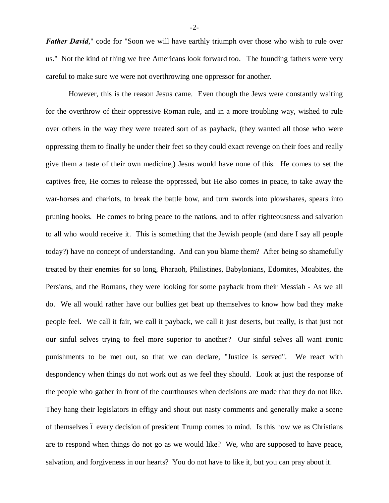*Father David*," code for "Soon we will have earthly triumph over those who wish to rule over us." Not the kind of thing we free Americans look forward too. The founding fathers were very careful to make sure we were not overthrowing one oppressor for another.

However, this is the reason Jesus came. Even though the Jews were constantly waiting for the overthrow of their oppressive Roman rule, and in a more troubling way, wished to rule over others in the way they were treated sort of as payback, (they wanted all those who were oppressing them to finally be under their feet so they could exact revenge on their foes and really give them a taste of their own medicine,) Jesus would have none of this. He comes to set the captives free, He comes to release the oppressed, but He also comes in peace, to take away the war-horses and chariots, to break the battle bow, and turn swords into plowshares, spears into pruning hooks. He comes to bring peace to the nations, and to offer righteousness and salvation to all who would receive it. This is something that the Jewish people (and dare I say all people today?) have no concept of understanding. And can you blame them? After being so shamefully treated by their enemies for so long, Pharaoh, Philistines, Babylonians, Edomites, Moabites, the Persians, and the Romans, they were looking for some payback from their Messiah - As we all do. We all would rather have our bullies get beat up themselves to know how bad they make people feel. We call it fair, we call it payback, we call it just deserts, but really, is that just not our sinful selves trying to feel more superior to another? Our sinful selves all want ironic punishments to be met out, so that we can declare, "Justice is served". We react with despondency when things do not work out as we feel they should. Look at just the response of the people who gather in front of the courthouses when decisions are made that they do not like. They hang their legislators in effigy and shout out nasty comments and generally make a scene of themselves 6 every decision of president Trump comes to mind. Is this how we as Christians are to respond when things do not go as we would like? We, who are supposed to have peace, salvation, and forgiveness in our hearts? You do not have to like it, but you can pray about it.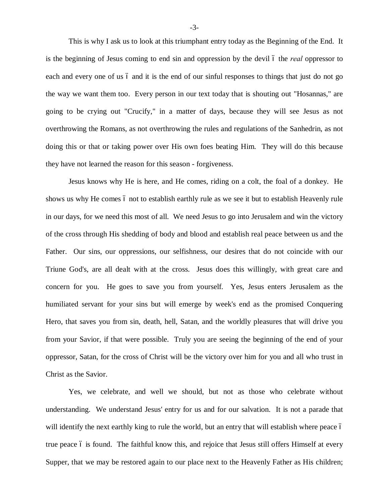This is why I ask us to look at this triumphant entry today as the Beginning of the End. It is the beginning of Jesus coming to end sin and oppression by the devil 6 the *real* oppressor to each and every one of us 6 and it is the end of our sinful responses to things that just do not go the way we want them too. Every person in our text today that is shouting out "Hosannas," are going to be crying out "Crucify," in a matter of days, because they will see Jesus as not overthrowing the Romans, as not overthrowing the rules and regulations of the Sanhedrin, as not doing this or that or taking power over His own foes beating Him. They will do this because they have not learned the reason for this season - forgiveness.

Jesus knows why He is here, and He comes, riding on a colt, the foal of a donkey. He shows us why He comes 6 not to establish earthly rule as we see it but to establish Heavenly rule in our days, for we need this most of all. We need Jesus to go into Jerusalem and win the victory of the cross through His shedding of body and blood and establish real peace between us and the Father. Our sins, our oppressions, our selfishness, our desires that do not coincide with our Triune God's, are all dealt with at the cross. Jesus does this willingly, with great care and concern for you. He goes to save you from yourself. Yes, Jesus enters Jerusalem as the humiliated servant for your sins but will emerge by week's end as the promised Conquering Hero, that saves you from sin, death, hell, Satan, and the worldly pleasures that will drive you from your Savior, if that were possible. Truly you are seeing the beginning of the end of your oppressor, Satan, for the cross of Christ will be the victory over him for you and all who trust in Christ as the Savior.

Yes, we celebrate, and well we should, but not as those who celebrate without understanding. We understand Jesus' entry for us and for our salvation. It is not a parade that will identify the next earthly king to rule the world, but an entry that will establish where peace 6 true peace 6 is found. The faithful know this, and rejoice that Jesus still offers Himself at every Supper, that we may be restored again to our place next to the Heavenly Father as His children;

-3-